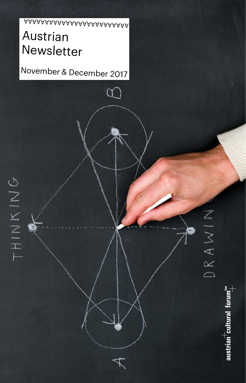# Austrian Newsletter AAAAAAAAAAAAAAAAAAAAAAAAA

November & December 2017

austrian $\overline{\overline{\phantom{a}} }$ cultural forum $\overline{\phantom{a} \overline{\phantom{a}} }^{\phantom{\ast} \bullet}$ 

DRAWIN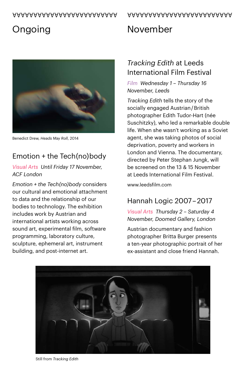#### AAAAAAAAAAAAAAAAAAAAAAAAA

#### AAAAAAAAAAAAAAAAAAAAAAAAA

# **Ongoing**



Benedict Drew, *Heads May Roll*, 2014

### Emotion + the Tech(no)body

#### *Visual Arts Until Friday 17 November, ACF London*

*Emotion + the Tech(no)body* considers our cultural and emotional attachment to data and the relationship of our bodies to technology. The exhibition includes work by Austrian and international artists working across sound art, experimental film, software programming, laboratory culture, sculpture, ephemeral art, instrument building, and post-internet art.

#### *Tracking Edith* at Leeds International Film Festival

November

*Film Wednesday 1 – Thursday 16 November, Leeds*

*Tracking Edith* tells the story of the socially engaged Austrian / British photographer Edith Tudor-Hart (née Suschitzky), who led a remarkable double life. When she wasn't working as a Soviet agent, she was taking photos of social deprivation, poverty and workers in London and Vienna. The documentary, directed by Peter Stephan Jungk, will be screened on the 13 & 15 November at Leeds International Film Festival.

[www.leedsfilm.com](http://www.leedsfilm.com)

### Hannah Logic 2007 – 2017

*Visual Arts Thursday 2 – Saturday 4 November, Doomed Gallery, London* 

Austrian documentary and fashion photographer Britta Burger presents a ten-year photographic portrait of her ex-assistant and close friend Hannah.



Still from *Tracking Edith*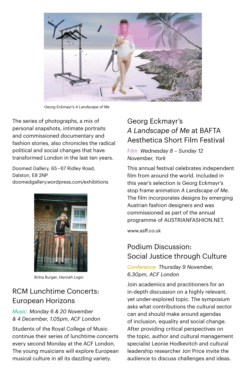![](_page_2_Picture_0.jpeg)

Georg Eckmayr's *A Landscape of Me*

The series of photographs, a mix of personal snapshots, intimate portraits and commissioned documentary and fashion stories, also chronicles the radical political and social changes that have transformed London in the last ten years.

Doomed Gallery, 65 – 67 Ridley Road, Dalston, E8 2NP [doomedgallery.wordpress.com/exhibitions](https://doomedgallery.wordpress.com/exhibitions/) 

![](_page_2_Picture_4.jpeg)

Britta Burger, *Hannah Logic*

### RCM Lunchtime Concerts: European Horizons

#### *Music Monday 6 & 20 November & 4 December, 1.05pm, ACF London*

Students of the Royal College of Music continue their series of lunchtime concerts every second Monday at the ACF London. The young musicians will explore European musical culture in all its dazzling variety.

### Georg Eckmayr's *A Landscape of Me* at BAFTA Aesthetica Short Film Festival

*Film Wednesday 8 – Sunday 12 November, York*

This annual festival celebrates independent film from around the world. Included in this year's selection is Georg Eckmayr's stop frame animation *A Landscape of Me*. The film incorporates designs by emerging Austrian fashion designers and was commissioned as part of the annual programme of AUSTRIANFASHION NFT

[www.asff.co.uk](http://www.asff.co.uk)

### Podium Discussion: Social Justice through Culture

#### *Conference Thursday 9 November, 6.30pm, ACF London*

Join academics and practitioners for an in-depth discussion on a highly relevant, yet under-explored topic. The symposium asks what contributions the cultural sector can and should make around agendas of inclusion, equality and social change. After providing critical perspectives on the topic, author and cultural management specialist Leonie Hodkevitch and cultural leadership researcher Jon Price invite the audience to discuss challenges and ideas.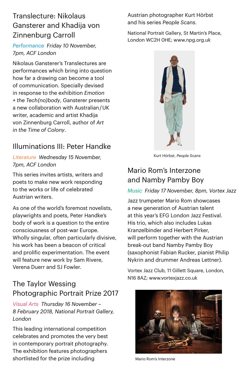### Translecture: Nikolaus Gansterer and Khadija von Zinnenburg Carroll

*Performance Friday 10 November, 7pm, ACF London* 

Nikolaus Gansterer's Translectures are performances which bring into question how far a drawing can become a tool of communication. Specially devised in response to the exhibition *Emotion + the Tech(no)body*, Gansterer presents a new collaboration with Australian / UK writer, academic and artist Khadija von Zinnenburg Carroll, author of *Art in the Time of Colony*.

### Illuminations III: Peter Handke

*Literature Wednesday 15 November, 7pm, ACF London*

This series invites artists, writers and poets to make new work responding to the works or life of celebrated Austrian writers.

As one of the world's foremost novelists, playwrights and poets, Peter Handke's body of work is a question to the entire consciousness of post-war Europe. Wholly singular, often particularly divisive, his work has been a beacon of critical and prolific experimentation. The event will feature new work by Sam Rivere, Verena Duerr and SJ Fowler.

### The Taylor Wessing Photographic Portrait Prize 2017

*Visual Arts Thursday 16 November – 8 February 2018, National Portrait Gallery, London*

This leading international competition celebrates and promotes the very best in contemporary portrait photography. The exhibition features photographers shortlisted for the prize including

Austrian photographer Kurt Hörbst and his series *People Scans*.

National Portrait Gallery, St Martin's Place, London WC2H 0HE; [www.npg.org.uk](http://www.npg.org.uk) 

![](_page_3_Picture_12.jpeg)

Kurt Hörbst, *People Scans*

#### Mario Rom's Interzone and Namby Pamby Boy

#### *Music Friday 17 November, 8pm, Vortex Jazz*

Jazz trumpeter Mario Rom showcases a new generation of Austrian talent at this year's EFG London Jazz Festival. His trio, which also includes Lukas Kranzelbinder and Herbert Pirker, will perform together with the Austrian break-out band Namby Pamby Boy (saxophonist Fabian Rucker, pianist Philip Nykrin and drummer Andreas Lettner).

Vortex Jazz Club, 11 Gillett Square, London, N16 8AZ; [www.vortexjazz.co.uk](http://www.vortexjazz.co.uk)

![](_page_3_Picture_18.jpeg)

Mario Rom's Interzone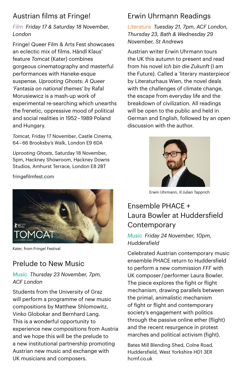### Austrian films at Fringe!

#### *Film Friday 17 & Saturday 18 November, London*

Fringe! Queer Film & Arts Fest showcases an eclectic mix of films. Händl Klaus' feature *Tomcat* (Kater) combines gorgeous cinematography and masterful performances with Haneke-esque suspense. *Uprooting Ghosts: A Queer 'Fantasia on national themes'* by Rafal Morusiewicz is a mash-up work of experimental re-searching which unearths the frenetic, oppressive mood of political and social realities in 1952 – 1989 Poland and Hungary.

*Tomcat*, Friday 17 November, Castle Cinema, 64 – 66 Brooksby's Walk, London E9 6DA

*Uprooting Ghosts*, Saturday 18 November, 5pm, Hackney Showroom, Hackney Downs Studios, Amhurst Terrace, London E8 2BT

[fringefilmfest.com](http://fringefilmfest.com)

![](_page_4_Picture_6.jpeg)

*Kater*, from Fringe! Festival

### Prelude to New Music

#### *Music Thursday 23 November, 7pm, ACF London*

Students from the University of Graz will perform a programme of new music compositions by Matthew Shlomowitz, Vinko Globokar and Bernhard Lang. This is a wonderful opportunity to experience new compositions from Austria and we hope this will be the prelude to a new institutional partnership promoting Austrian new music and exchange with UK musicians and composers.

# Erwin Uhrmann Readings

*Literature Tuesday 21, 7pm, ACF London, Thursday 23, Bath & Wednesday 29 November, St Andrews*

Austrian writer Erwin Uhrmann tours the UK this autumn to present and read from his novel *Ich bin die Zukunft* (I am the Future). Called a 'literary masterpiece' by Literaturhaus Wien, the novel deals with the challenges of climate change. the escape from everyday life and the breakdown of civilization. All readings will be open to the public and held in German and English, followed by an open discussion with the author.

![](_page_4_Picture_14.jpeg)

Erwin Uhrmann, © Julian Tapprich

## Ensemble PHACE + Laura Bowler at Huddersfield **Contemporary**

#### *Music Friday 24 November, 10pm, Huddersfield*

Celebrated Austrian contemporary music ensemble PHACE return to Huddersfield to perform a new commission *FFF* with UK composer / performer Laura Bowler. The piece explores the fight or flight mechanism, drawing parallels between the primal, animalistic mechanism of fight or flight and contemporary society's engagement with politics through the passive online ether (flight) and the recent resurgence in protest marches and political activism (fight).

Bates Mill Blending Shed, Colne Road, Huddersfield, West Yorkshire HD1 3ER [hcmf.co.uk](http://hcmf.co.uk)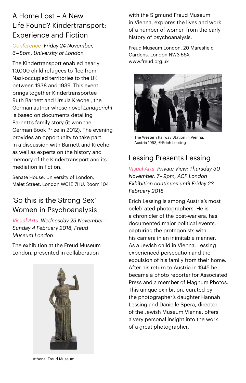### A Home Lost – A New Life Found? Kindertransport: Experience and Fiction

*Conference Friday 24 November, 6 – 8pm, University of London*

The Kindertransport enabled nearly 10,000 child refugees to flee from Nazi-occupied territories to the UK between 1938 and 1939. This event brings together Kindertransportee Ruth Barnett and Ursula Krechel, the German author whose novel *Landgericht* is based on documents detailing Barnett's family story (it won the German Book Prize in 2012). The evening provides an opportunity to take part in a discussion with Barnett and Krechel as well as experts on the history and memory of the Kindertransport and its mediation in fiction.

Senate House, University of London, Malet Street, London WC1E 7HU, Room 104

### 'So this is the Strong Sex' Women in Psychoanalysis

*Visual Arts Wednesday 29 November – Sunday 4 February 2018, Freud Museum London*

The exhibition at the Freud Museum London, presented in collaboration

![](_page_5_Picture_7.jpeg)

with the Sigmund Freud Museum in Vienna, explores the lives and work of a number of women from the early history of psychoanalysis.

Freud Museum London, 20 Maresfield Gardens, London NW3 5SX [www.freud.org.uk](http://www.freud.org.uk) 

![](_page_5_Picture_10.jpeg)

The Western Railway Station in Vienna, Austria 1953, © Erich Lessing

#### Lessing Presents Lessing

*Visual Arts Private View: Thursday 30 November, 7 – 9pm, ACF London Exhibition continues until Friday 23 February 2018*

Erich Lessing is among Austria's most celebrated photographers. He is a chronicler of the post-war era, has documented major political events, capturing the protagonists with his camera in an inimitable manner. As a Jewish child in Vienna, Lessing experienced persecution and the expulsion of his family from their home. After his return to Austria in 1945 he became a photo reporter for Associated Press and a member of Magnum Photos. This unique exhibition, curated by the photographer's daughter Hannah Lessing and Danielle Spera, director of the Jewish Museum Vienna, offers a very personal insight into the work of a great photographer.

Athena, Freud Museum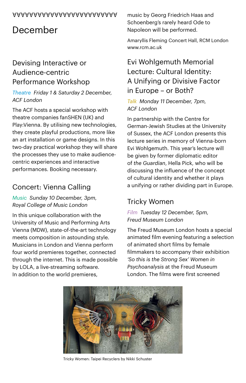# December

#### Devising Interactive or Audience-centric Performance Workshop

#### *Theatre Friday 1 & Saturday 2 December, ACF London*

The ACF hosts a special workshop with theatre companies fanSHEN (UK) and Play:Vienna. By utilising new technologies, they create playful productions, more like an art installation or game designs. In this two-day practical workshop they will share the processes they use to make audiencecentric experiences and interactive performances. Booking necessary.

### Concert: Vienna Calling

*Music Sunday 10 December, 3pm, Royal College of Music London*

In this unique collaboration with the University of Music and Performing Arts Vienna (MDW), state-of-the-art technology meets composition in astounding style. Musicians in London and Vienna perform four world premieres together, connected through the internet. This is made possible by LOLA, a live-streaming software. In addition to the world premieres,

music by Georg Friedrich Haas and Schoenberg's rarely heard Ode to Napoleon will be performed.

Amaryllis Fleming Concert Hall, RCM London [www.rcm.ac.uk](http://www.rcm.ac.uk)

### Evi Wohlgemuth Memorial Lecture: Cultural Identity: A Unifying or Divisive Factor in Europe – or Both?

#### *Talk Monday 11 December, 7pm, ACF London*

In partnership with the Centre for German-Jewish Studies at the University of Sussex, the ACF London presents this lecture series in memory of Vienna-born Evi Wohlgemuth. This year's lecture will be given by former diplomatic editor of *the Guardian*, Hella Pick, who will be discussing the influence of the concept of cultural identity and whether it plays a unifying or rather dividing part in Europe.

### Tricky Women

#### *Film Tuesday 12 December, 5pm, Freud Museum London*

The Freud Museum London hosts a special animated film evening featuring a selection of animated short films by female filmmakers to accompany their exhibition *'So this is the Strong Sex' Women in Psychoanalysis* at the Freud Museum London. The films were first screened

![](_page_6_Picture_16.jpeg)

Tricky Women: Taipei Recyclers by Nikki Schuster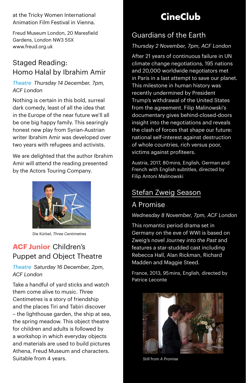at the Tricky Women International Animation Film Festival in Vienna.

Freud Museum London, 20 Maresfield Gardens, London NW3 5SX [www.freud.org.uk](http://www.freud.org.uk)

#### Staged Reading: Homo Halal by Ibrahim Amir

#### *Theatre Thursday 14 December, 7pm, ACF London*

Nothing is certain in this bold, surreal dark comedy, least of all the idea that in the Europe of the near future we'll all be one big happy family. This searingly honest new play from Syrian-Austrian writer Ibrahim Amir was developed over two years with refugees and activists.

We are delighted that the author Ibrahim Amir will attend the reading presented by the Actors Touring Company.

![](_page_7_Picture_6.jpeg)

Die Kürbel, *Three Centimetres*

### **ACF Junior**  Children's Puppet and Object Theatre

#### *Theatre Saturday 16 December, 2pm, ACF London*

Take a handful of yard sticks and watch them come alive to music. *Three Centimetres* is a story of friendship and the places Tiri and Tabiri discover – the lighthouse garden, the ship at sea, the spring meadow. This object theatre for children and adults is followed by a workshop in which everyday objects and materials are used to build pictures Athena, Freud Museum and characters. Suitable from 4 years.

# **CineClub**

### Guardians of the Earth

#### *Thursday 2 November, 7pm, ACF London*

After 21 years of continuous failure in UN climate change negotiations, 195 nations and 20,000 worldwide negotiators met in Paris in a last attempt to save our planet. This milestone in human history was recently undermined by President Trump's withdrawal of the United States from the agreement. Filip Malinowski's documentary gives behind-closed-doors insight into the negotiations and reveals the clash of forces that shape our future: national self-interest against destruction of whole countries, rich versus poor, victims against profiteers.

Austria, 2017, 80 mins, English, German and French with English subtitles, directed by Filip Antoni Malinowski

#### Stefan Zweig Season

#### A Promise

*Wednesday 8 November, 7pm, ACF London*

This romantic period drama set in Germany on the eve of WWI is based on Zweig's novel *Journey into the Past* and features a star-studded cast including Rebecca Hall, Alan Rickman, Richard Madden and Maggie Steed.

France, 2013, 95 mins, English, directed by Patrice Leconte

![](_page_7_Picture_21.jpeg)

Still from *A Promise*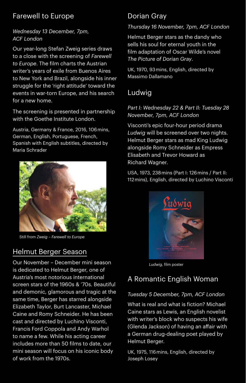### Farewell to Europe

#### *Wednesday 13 December, 7pm, ACF London*

Our year-long Stefan Zweig series draws to a close with the screening of *Farewell to Europe*. The film charts the Austrian writer's years of exile from Buenos Aires to New York and Brazil, alongside his inner struggle for the 'right attitude' toward the events in war-torn Europe, and his search for a new home.

The screening is presented in partnership with the Goethe Institute London.

Austria, Germany & France, 2016, 106 mins, German, English, Portuguese, French, Spanish with English subtitles, directed by Maria Schrader

![](_page_8_Picture_5.jpeg)

Still from *Zweig – Farewell to Europe*

#### Helmut Berger Season

Our November – December mini season is dedicated to Helmut Berger, one of Austria's most notorious international screen stars of the 1960s & '70s. Beautiful and demonic, glamorous and tragic at the same time, Berger has starred alongside Elizabeth Taylor, Burt Lancaster, Michael Caine and Romy Schneider. He has been cast and directed by Luchino Visconti, Francis Ford Coppola and Andy Warhol to name a few. While his acting career includes more than 50 films to date, our mini season will focus on his iconic body of work from the 1970s.

### Dorian Gray

#### *Thursday 16 November, 7pm, ACF London*

Helmut Berger stars as the dandy who sells his soul for eternal youth in the film adaptation of Oscar Wilde's novel *The Picture of Dorian Gray*.

UK, 1970, 93 mins, English, directed by Massimo Dallamano

#### Ludwig

#### *Part I: Wednesday 22 & Part II: Tuesday 28 November, 7pm, ACF London*

Visconti's epic four-hour period drama *Ludwig* will be screened over two nights. Helmut Berger stars as mad King Ludwig alongside Romy Schneider as Empress Elisabeth and Trevor Howard as Richard Wagner.

USA, 1973, 238 mins (Part I: 126 mins / Part II: 112 mins), English, directed by Luchino Visconti

![](_page_8_Picture_17.jpeg)

*Ludwig,* film poster

### A Romantic English Woman

#### *Tuesday 5 December, 7pm, ACF London*

What is real and what is fiction? Michael Caine stars as Lewis, an English novelist with writer's block who suspects his wife (Glenda Jackson) of having an affair with a German drug-dealing poet played by Helmut Berger.

UK, 1975, 116 mins, English, directed by Joseph Losey